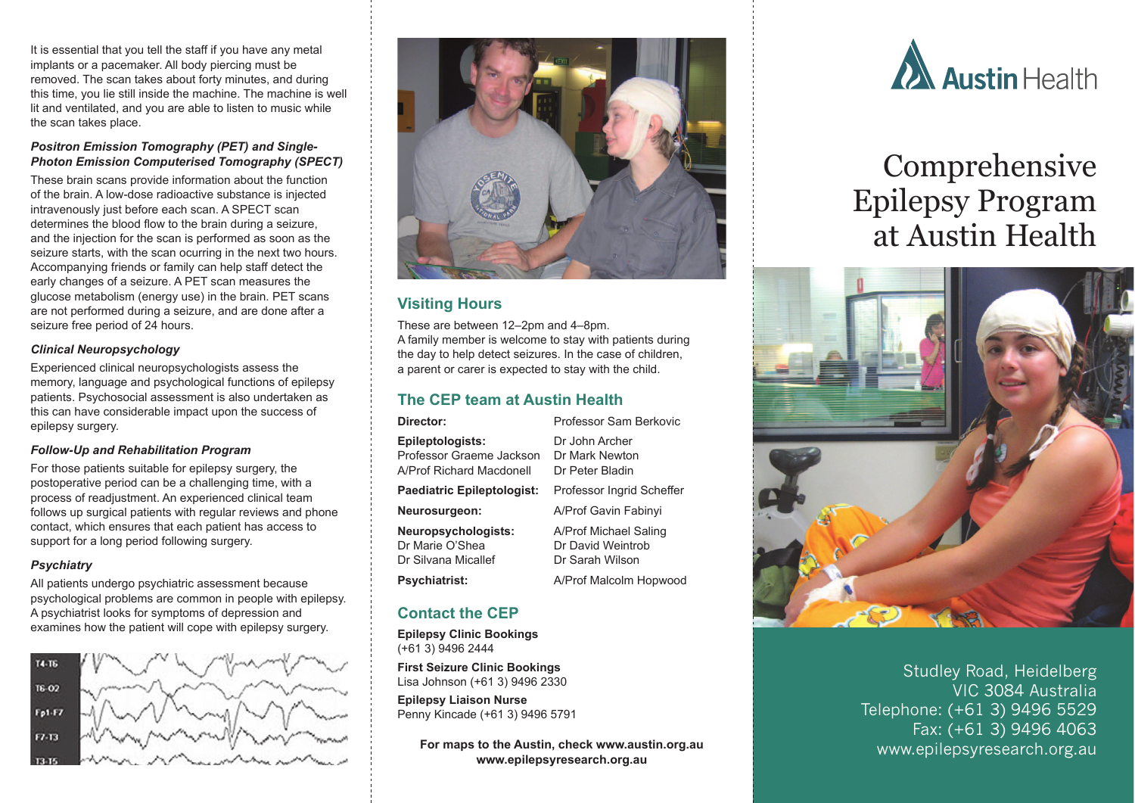It is essential that you tell the staff if you have any metal implants or a pacemaker. All body piercing must be removed. The scan takes about forty minutes, and during this time, you lie still inside the machine. The machine is well lit and ventilated, and you are able to listen to music while the scan takes place.

#### *Positron Emission Tomography (PET) and Single-Photon Emission Computerised Tomography (SPECT)*

These brain scans provide information about the function of the brain. A low-dose radioactive substance is injected intravenously just before each scan. A SPECT scan determines the blood flow to the brain during a seizure, and the injection for the scan is performed as soon as the seizure starts, with the scan ocurring in the next two hours. Accompanying friends or family can help staff detect the early changes of a seizure. A PET scan measures the glucose metabolism (energy use) in the brain. PET scans are not performed during a seizure, and are done after a seizure free period of 24 hours.

#### *Clinical Neuropsychology*

Experienced clinical neuropsychologists assess the memory, language and psychological functions of epilepsy patients. Psychosocial assessment is also undertaken as this can have considerable impact upon the success of epilepsy surgery.

#### *Follow-Up and Rehabilitation Program*

For those patients suitable for epilepsy surgery, the postoperative period can be a challenging time, with a process of readjustment. An experienced clinical team follows up surgical patients with regular reviews and phone contact, which ensures that each patient has access to support for a long period following surgery.

#### *Psychiatry*

All patients undergo psychiatric assessment because psychological problems are common in people with epilepsy. A psychiatrist looks for symptoms of depression and examines how the patient will cope with epilepsy surgery.





## **Visiting Hours**

These are between 12–2pm and 4–8pm. A family member is welcome to stay with patients during the day to help detect seizures. In the case of children, a parent or carer is expected to stay with the child.

## **The CEP team at Austin Health**

| Director:                                                                | Professor Sam Berkovic                                        |
|--------------------------------------------------------------------------|---------------------------------------------------------------|
| Epileptologists:<br>Professor Graeme Jackson<br>A/Prof Richard Macdonell | Dr John Archer<br>Dr Mark Newton<br>Dr Peter Bladin           |
| Paediatric Epileptologist:                                               | Professor Ingrid Scheffer                                     |
| Neurosurgeon:                                                            | A/Prof Gavin Fabinyi                                          |
| Neuropsychologists:<br>Dr Marie O'Shea<br>Dr Silvana Micallef            | A/Prof Michael Saling<br>Dr David Weintrob<br>Dr Sarah Wilson |
| Psychiatrist:                                                            | A/Prof Malcolm Hopwood                                        |

# **Contact the CEP**

**Epilepsy Clinic Bookings** (+61 3) 9496 2444

**First Seizure Clinic Bookings** Lisa Johnson (+61 3) 9496 2330

**Epilepsy Liaison Nurse** Penny Kincade (+61 3) 9496 5791

> **For maps to the Austin, check www.austin.org.au www.epilepsyresearch.org.au**



# Comprehensive Epilepsy Program at Austin Health



Studley Road, Heidelberg VIC 3084 Australia Telephone: (+61 3) 9496 5529 Fax: (+61 3) 9496 4063 www.epilepsyresearch.org.au